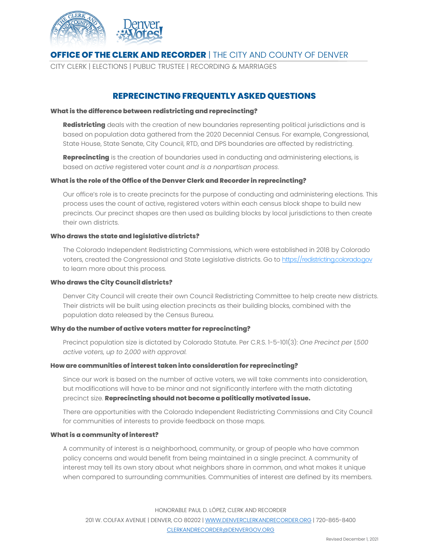

## **OFFICE OF THE CLERK AND RECORDER** | THE CITY AND COUNTY OF DENVER

CITY CLERK | ELECTIONS | PUBLIC TRUSTEE | RECORDING & MARRIAGES

# **REPRECINCTING FREQUENTLY ASKED QUESTIONS**

#### **What is the difference between redistricting and reprecincting?**

**Redistricting** deals with the creation of new boundaries representing political jurisdictions and is based on population data gathered from the 2020 Decennial Census. For example, Congressional, State House, State Senate, City Council, RTD, and DPS boundaries are affected by redistricting.

**Reprecincting** is the creation of boundaries used in conducting and administering elections, is based on *active* registered voter count *and is a nonpartisan process*.

#### **What is the role of the Office of the Denver Clerk and Recorder in reprecincting?**

Our office's role is to create precincts for the purpose of conducting and administering elections. This process uses the count of active, registered voters within each census block shape to build new precincts. Our precinct shapes are then used as building blocks by local jurisdictions to then create their own districts.

#### **Who draws the state and legislative districts?**

The Colorado Independent Redistricting Commissions, which were established in 2018 by Colorado voters, created the Congressional and State Legislative districts. Go t[o https://redistricting.colorado.gov](https://redistricting.colorado.gov/) to learn more about this process.

#### **Who draws the City Council districts?**

Denver City Council will create their own Council Redistricting Committee to help create new districts. Their districts will be built using election precincts as their building blocks, combined with the population data released by the Census Bureau.

#### **Why do the number of active voters matter for reprecincting?**

Precinct population size is dictated by Colorado Statute. Per C.R.S. 1-5-101(3): *One Precinct per 1,500 active voters, up to 2,000 with approval.*

#### **How are communities of interest taken into consideration for reprecincting?**

Since our work is based on the number of active voters, we will take comments into consideration, but modifications will have to be minor and not significantly interfere with the math dictating precinct size. **Reprecincting should not become a politically motivated issue.** 

There are opportunities with the Colorado Independent Redistricting Commissions and City Council for communities of interests to provide feedback on those maps.

#### **What is a community of interest?**

A community of interest is a neighborhood, community, or group of people who have common policy concerns and would benefit from being maintained in a single precinct. A community of interest may tell its own story about what neighbors share in common, and what makes it unique when compared to surrounding communities. Communities of interest are defined by its members.